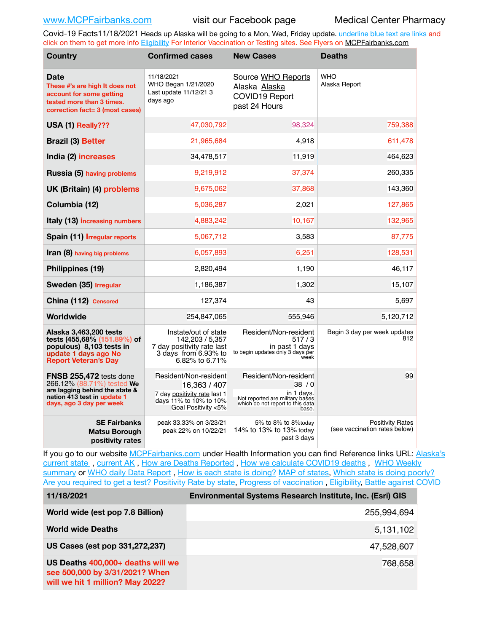Covid-19 Facts11/18/2021 Heads up Alaska will be going to a Mon, Wed, Friday update. underline blue text are links and click on them to get more info [Eligibility](http://dhss.alaska.gov/dph/Epi/id/Pages/COVID-19/VaccineAvailability.aspx) For Interior Vaccination or Testing sites. See Flyers on [MCPFairbanks.com](http://www.MCPFairbanks.com)

| <b>Country</b>                                                                                                                                     | <b>Confirmed cases</b>                                                                                                 | <b>New Cases</b>                                                                                                            | <b>Deaths</b>                                            |
|----------------------------------------------------------------------------------------------------------------------------------------------------|------------------------------------------------------------------------------------------------------------------------|-----------------------------------------------------------------------------------------------------------------------------|----------------------------------------------------------|
| Date<br>These #'s are high It does not<br>account for some getting<br>tested more than 3 times.<br>correction fact= 3 (most cases)                 | 11/18/2021<br>WHO Began 1/21/2020<br>Last update 11/12/21 3<br>days ago                                                | Source WHO Reports<br>Alaska Alaska<br><b>COVID19 Report</b><br>past 24 Hours                                               | <b>WHO</b><br>Alaska Report                              |
| USA (1) Really???                                                                                                                                  | 47,030,792                                                                                                             | 98,324                                                                                                                      | 759,388                                                  |
| <b>Brazil (3) Better</b>                                                                                                                           | 21,965,684                                                                                                             | 4,918                                                                                                                       | 611,478                                                  |
| India (2) increases                                                                                                                                | 34,478,517                                                                                                             | 11,919                                                                                                                      | 464,623                                                  |
| Russia (5) having problems                                                                                                                         | 9,219,912                                                                                                              | 37,374                                                                                                                      | 260,335                                                  |
| <b>UK (Britain) (4) problems</b>                                                                                                                   | 9,675,062                                                                                                              | 37,868                                                                                                                      | 143,360                                                  |
| Columbia (12)                                                                                                                                      | 5,036,287                                                                                                              | 2,021                                                                                                                       | 127,865                                                  |
| Italy (13) increasing numbers                                                                                                                      | 4,883,242                                                                                                              | 10,167                                                                                                                      | 132,965                                                  |
| Spain (11) Irregular reports                                                                                                                       | 5,067,712                                                                                                              | 3,583                                                                                                                       | 87,775                                                   |
| <b>Iran (8)</b> having big problems                                                                                                                | 6,057,893                                                                                                              | 6,251                                                                                                                       | 128,531                                                  |
| Philippines (19)                                                                                                                                   | 2,820,494                                                                                                              | 1,190                                                                                                                       | 46,117                                                   |
| Sweden (35) Irregular                                                                                                                              | 1,186,387                                                                                                              | 1,302                                                                                                                       | 15,107                                                   |
| China (112) Censored                                                                                                                               | 127,374                                                                                                                | 43                                                                                                                          | 5,697                                                    |
| Worldwide                                                                                                                                          | 254,847,065                                                                                                            | 555,946                                                                                                                     | 5,120,712                                                |
| Alaska 3,463,200 tests<br>tests (455,68% (151.89%) of<br>populous) 8,103 tests in<br>update 1 days ago No<br><b>Report Veteran's Day</b>           | Instate/out of state<br>142,203 / 5,357<br>7 day positivity rate last<br>3 days from 6.93% to<br>6.82% to 6.71%        | Resident/Non-resident<br>517/3<br>in past 1 days<br>to begin updates only 3 days per<br>week                                | Begin 3 day per week updates<br>812                      |
| FNSB 255,472 tests done<br>266.12% (88.71%) tested We<br>are lagging behind the state &<br>nation 413 test in update 1<br>days, ago 3 day per week | Resident/Non-resident<br>16,363 / 407<br>7 day positivity rate last 1<br>days 11% to 10% to 10%<br>Goal Positivity <5% | Resident/Non-resident<br>38/0<br>in 1 days.<br>Not reported are military bases<br>which do not report to this data<br>base. | 99                                                       |
| <b>SE Fairbanks</b><br>Matsu Borough<br>positivity rates                                                                                           | peak 33.33% on 3/23/21<br>peak 22% on 10/22/21                                                                         | 5% to 8% to 8%today<br>14% to 13% to 13% today<br>past 3 days                                                               | <b>Positivity Rates</b><br>(see vaccination rates below) |

If you go to our website [MCPFairbanks.com](http://www.MCPFairbanks.com) under Health Information you can find Reference links URL: Alaska's [current state](https://coronavirus-response-alaska-dhss.hub.arcgis.com) , [current AK](http://dhss.alaska.gov/dph/Epi/id/Pages/COVID-19/communications.aspx#cases) , [How are Deaths Reported](http://dhss.alaska.gov/dph/Epi/id/Pages/COVID-19/deathcounts.aspx) , [How we calculate COVID19 deaths](https://coronavirus-response-alaska-dhss.hub.arcgis.com/search?collection=Document&groupIds=41ccb3344ebc4bd682c74073eba21f42) , [WHO Weekly](http://www.who.int)  [summary](http://www.who.int) or [WHO daily Data Report](https://covid19.who.int/table), [How is each state is doing?](https://www.msn.com/en-us/news/us/state-by-state-coronavirus-news/ar-BB13E1PX?fbclid=IwAR0_OBJH7lSyTN3ug_MsOeFnNgB1orTa9OBgilKJ7dhnwlVvHEsptuKkj1c) [MAP of states,](https://www.nationalgeographic.com/science/graphics/graphic-tracking-coronavirus-infections-us?cmpid=org=ngp::mc=crm-email::src=ngp::cmp=editorial::add=SpecialEdition_20210305&rid=B9A6DF5992658E8E35CE023113CFEA4C) [Which state is doing poorly?](https://bestlifeonline.com/covid-outbreak-your-state/?utm_source=nsltr&utm_medium=email&utm_content=covid-outbreak-your-state&utm_campaign=launch) [Are you required to get a test?](http://dhss.alaska.gov/dph/Epi/id/SiteAssets/Pages/HumanCoV/Whattodoafteryourtest.pdf) [Positivity Rate by state](https://coronavirus.jhu.edu/testing/individual-states/alaska), Progress of vaccination, [Eligibility,](http://dhss.alaska.gov/dph/Epi/id/Pages/COVID-19/VaccineAvailability.aspx) [Battle against COVID](https://www.nationalgeographic.com/science/graphics/graphic-tracking-coronavirus-infections-us?cmpid=org=ngp::mc=crm-email::src=ngp::cmp=editorial::add=SpecialEdition_20210219&rid=B9A6DF5992658E8E35CE023113CFEA4C)

| 11/18/2021                                                                                              | Environmental Systems Research Institute, Inc. (Esri) GIS |
|---------------------------------------------------------------------------------------------------------|-----------------------------------------------------------|
| World wide (est pop 7.8 Billion)                                                                        | 255,994,694                                               |
| <b>World wide Deaths</b>                                                                                | 5,131,102                                                 |
| US Cases (est pop 331,272,237)                                                                          | 47,528,607                                                |
| US Deaths 400,000+ deaths will we<br>see 500,000 by 3/31/2021? When<br>will we hit 1 million? May 2022? | 768,658                                                   |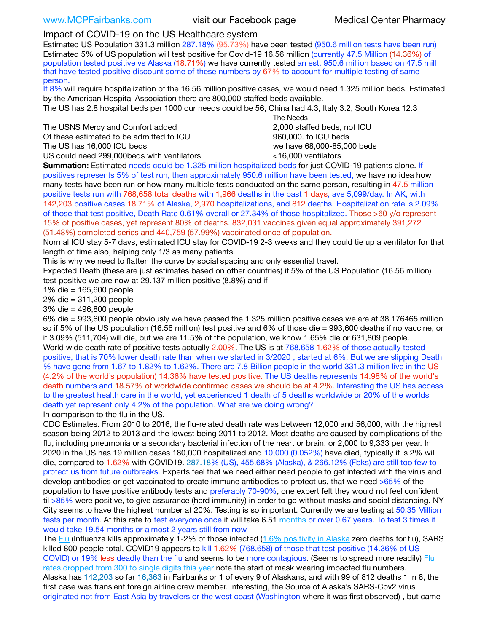## Impact of COVID-19 on the US Healthcare system

Estimated US Population 331.3 million 287.18% (95.73%) have been tested (950.6 million tests have been run) Estimated 5% of US population will test positive for Covid-19 16.56 million (currently 47.5 Million (14.36%) of population tested positive vs Alaska (18.71%) we have currently tested an est. 950.6 million based on 47.5 mill that have tested positive discount some of these numbers by 67% to account for multiple testing of same person.

If 8% will require hospitalization of the 16.56 million positive cases, we would need 1.325 million beds. Estimated by the American Hospital Association there are 800,000 staffed beds available.

The US has 2.8 hospital beds per 1000 our needs could be 56, China had 4.3, Italy 3.2, South Korea 12.3

The USNS Mercy and Comfort added 2,000 staffed beds, not ICU Of these estimated to be admitted to ICU 860,000. to ICU beds The US has 16,000 ICU beds we have 68,000-85,000 beds

US could need 299,000 beds with ventilators  $\leq 16,000$  ventilators

 The Needs

**Summation:** Estimated needs could be 1.325 million hospitalized beds for just COVID-19 patients alone. If positives represents 5% of test run, then approximately 950.6 million have been tested, we have no idea how many tests have been run or how many multiple tests conducted on the same person, resulting in 47.5 million positive tests run with 768,658 total deaths with 1,966 deaths in the past 1 days, ave 5,099/day. In AK, with 142,203 positive cases 18.71% of Alaska, 2,970 hospitalizations, and 812 deaths. Hospitalization rate is 2.09% of those that test positive, Death Rate 0.61% overall or 27.34% of those hospitalized. Those >60 y/o represent 15% of positive cases, yet represent 80% of deaths. 832,031 vaccines given equal approximately 391,272 (51.48%) completed series and 440,759 (57.99%) vaccinated once of population.

Normal ICU stay 5-7 days, estimated ICU stay for COVID-19 2-3 weeks and they could tie up a ventilator for that length of time also, helping only 1/3 as many patients.

This is why we need to flatten the curve by social spacing and only essential travel.

Expected Death (these are just estimates based on other countries) if 5% of the US Population (16.56 million) test positive we are now at 29.137 million positive (8.8%) and if

1% die = 165,600 people

2% die = 311,200 people

3% die = 496,800 people

6% die = 993,600 people obviously we have passed the 1.325 million positive cases we are at 38.176465 million so if 5% of the US population (16.56 million) test positive and 6% of those die = 993,600 deaths if no vaccine, or if 3.09% (511,704) will die, but we are 11.5% of the population, we know 1.65% die or 631,809 people. World wide death rate of positive tests actually 2.00%. The US is at 768,658 1.62% of those actually tested positive, that is 70% lower death rate than when we started in 3/2020 , started at 6%. But we are slipping Death % have gone from 1.67 to 1.82% to 1.62%. There are 7.8 Billion people in the world 331.3 million live in the US (4.2% of the world's population) 14.36% have tested positive. The US deaths represents 14.98% of the world's death numbers and 18.57% of worldwide confirmed cases we should be at 4.2%. Interesting the US has access to the greatest health care in the world, yet experienced 1 death of 5 deaths worldwide or 20% of the worlds death yet represent only 4.2% of the population. What are we doing wrong?

In comparison to the flu in the US.

CDC Estimates. From 2010 to 2016, the flu-related death rate was between 12,000 and 56,000, with the highest season being 2012 to 2013 and the lowest being 2011 to 2012. Most deaths are caused by complications of the flu, including pneumonia or a secondary bacterial infection of the heart or brain. or 2,000 to 9,333 per year. In 2020 in the US has 19 million cases 180,000 hospitalized and 10,000 (0.052%) have died, typically it is 2% will die, compared to 1.62% with COVID19. 287.18% (US), 455.68% (Alaska), & 266.12% (Fbks) are still too few to protect us from future outbreaks. Experts feel that we need either need people to get infected with the virus and develop antibodies or get vaccinated to create immune antibodies to protect us, that we need >65% of the population to have positive antibody tests and preferably 70-90%, one expert felt they would not feel confident til >85% were positive, to give assurance (herd immunity) in order to go without masks and social distancing. NY City seems to have the highest number at 20%. Testing is so important. Currently we are testing at 50.35 Million tests per month. At this rate to test everyone once it will take 6.51 months or over 0.67 years. To test 3 times it would take 19.54 months or almost 2 years still from now

The [Flu](https://lnks.gd/l/eyJhbGciOiJIUzI1NiJ9.eyJidWxsZXRpbl9saW5rX2lkIjoxMDMsInVyaSI6ImJwMjpjbGljayIsImJ1bGxldGluX2lkIjoiMjAyMTAyMjYuMzYwNDA3NTEiLCJ1cmwiOiJodHRwczovL3d3dy5jZGMuZ292L2ZsdS93ZWVrbHkvb3ZlcnZpZXcuaHRtIn0.ePMA_hsZ-pTnhWSyg1gHvHWYTu2XceVOt0JejxvP1WE/s/500544915/br/98428119752-l) (Influenza kills approximately 1-2% of those infected ([1.6% positivity in Alaska](http://dhss.alaska.gov/dph/Epi/id/SiteAssets/Pages/influenza/trends/Snapshot.pdf) zero deaths for flu), SARS killed 800 people total, COVID19 appears to kill 1.62% (768,658) of those that test positive (14.36% of US COVID) or 19% less deadly than the flu and seems to be more contagious. (Seems to spread more readily) [Flu](https://lnks.gd/l/eyJhbGciOiJIUzI1NiJ9.eyJidWxsZXRpbl9saW5rX2lkIjoxMDEsInVyaSI6ImJwMjpjbGljayIsImJ1bGxldGluX2lkIjoiMjAyMTAyMjYuMzYwNDA3NTEiLCJ1cmwiOiJodHRwOi8vZGhzcy5hbGFza2EuZ292L2RwaC9FcGkvaWQvUGFnZXMvaW5mbHVlbnphL2ZsdWluZm8uYXNweCJ9.oOe3nt2fww6XpsNhb4FZfmtPfPa-irGaldpkURBJhSo/s/500544915/br/98428119752-l)  [rates dropped from 300 to single digits this year](https://lnks.gd/l/eyJhbGciOiJIUzI1NiJ9.eyJidWxsZXRpbl9saW5rX2lkIjoxMDEsInVyaSI6ImJwMjpjbGljayIsImJ1bGxldGluX2lkIjoiMjAyMTAyMjYuMzYwNDA3NTEiLCJ1cmwiOiJodHRwOi8vZGhzcy5hbGFza2EuZ292L2RwaC9FcGkvaWQvUGFnZXMvaW5mbHVlbnphL2ZsdWluZm8uYXNweCJ9.oOe3nt2fww6XpsNhb4FZfmtPfPa-irGaldpkURBJhSo/s/500544915/br/98428119752-l) note the start of mask wearing impacted flu numbers. Alaska has 142,203 so far 16,363 in Fairbanks or 1 of every 9 of Alaskans, and with 99 of 812 deaths 1 in 8, the first case was transient foreign airline crew member. Interesting, the Source of Alaska's SARS-Cov2 virus

originated not from East Asia by travelers or the west coast (Washington where it was first observed) , but came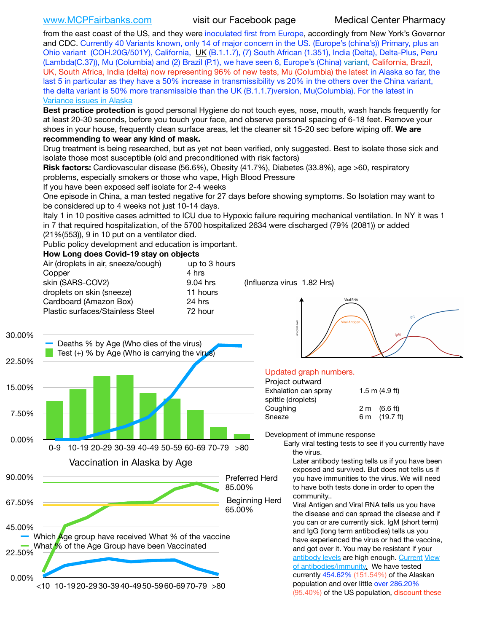[www.MCPFairbanks.com](http://www.MCPFairbanks.com) visit our Facebook page Medical Center Pharmacy

from the east coast of the US, and they were inoculated first from Europe, accordingly from New York's Governor and CDC. Currently 40 Variants known, only 14 of major concern in the US. (Europe's (china's)) Primary, plus an Ohio variant (COH.20G/501Y), California, [UK](https://www.cdc.gov/coronavirus/2019-ncov/transmission/variant-cases.html) (B.1.1.7), (7) South African (1.351), India (Delta), Delta-Plus, Peru (Lambda(C.37)), Mu (Columbia) and (2) Brazil (P.1), we have seen 6, Europe's (China) [variant,](https://www.webmd.com/lung/news/20210318/cdc-who-create-threat-levels-for-covid-variants?ecd=wnl_cvd_031921&ctr=wnl-cvd-031921&mb=kYbf7DsHb7YGjh/1RUkcAW0T6iorImAU1TDZh18RYs0=_Support_titleLink_2) California, Brazil, UK, South Africa, India (delta) now representing 96% of new tests, Mu (Columbia) the latest in Alaska so far, the last 5 in particular as they have a 50% increase in transmissibility vs 20% in the others over the China variant, the delta variant is 50% more transmissible than the UK (B.1.1.7)version, Mu(Columbia). For the latest in [Variance issues in Alaska](https://akvariants.github.io)

**Best practice protection** is good personal Hygiene do not touch eyes, nose, mouth, wash hands frequently for at least 20-30 seconds, before you touch your face, and observe personal spacing of 6-18 feet. Remove your shoes in your house, frequently clean surface areas, let the cleaner sit 15-20 sec before wiping off. **We are recommending to wear any kind of mask.**

Drug treatment is being researched, but as yet not been verified, only suggested. Best to isolate those sick and isolate those most susceptible (old and preconditioned with risk factors)

**Risk factors:** Cardiovascular disease (56.6%), Obesity (41.7%), Diabetes (33.8%), age >60, respiratory problems, especially smokers or those who vape, High Blood Pressure

If you have been exposed self isolate for 2-4 weeks

One episode in China, a man tested negative for 27 days before showing symptoms. So Isolation may want to be considered up to 4 weeks not just 10-14 days.

Italy 1 in 10 positive cases admitted to ICU due to Hypoxic failure requiring mechanical ventilation. In NY it was 1 in 7 that required hospitalization, of the 5700 hospitalized 2634 were discharged (79% (2081)) or added

(21%(553)), 9 in 10 put on a ventilator died.

Public policy development and education is important.

### **How Long does Covid-19 stay on objects**

| Air (droplets in air, sneeze/cough) | up to 3 hours |                            |
|-------------------------------------|---------------|----------------------------|
| Copper                              | 4 hrs         |                            |
| skin (SARS-COV2)                    | 9.04 hrs      | (Influenza virus 1.82 Hrs) |
| droplets on skin (sneeze)           | 11 hours      |                            |
| Cardboard (Amazon Box)              | 24 hrs        |                            |
| Plastic surfaces/Stainless Steel    | 72 hour       |                            |
|                                     |               |                            |





### Updated graph numbers.

| Project outward      |                        |
|----------------------|------------------------|
| Exhalation can spray | $1.5$ m $(4.9$ ft)     |
| spittle (droplets)   |                        |
| Coughing             | $2 \text{ m}$ (6.6 ft) |
| Sneeze               | 6 m (19.7 ft)          |
|                      |                        |

Development of immune response

Early viral testing tests to see if you currently have the virus.

Later antibody testing tells us if you have been exposed and survived. But does not tells us if you have immunities to the virus. We will need to have both tests done in order to open the community..

Viral Antigen and Viral RNA tells us you have the disease and can spread the disease and if you can or are currently sick. IgM (short term) and IgG (long term antibodies) tells us you have experienced the virus or had the vaccine, and got over it. You may be resistant if your [antibody levels](https://www.cdc.gov/coronavirus/2019-ncov/lab/resources/antibody-tests.html) are high enough. [Current](https://l.facebook.com/l.php?u=https://www.itv.com/news/2020-10-26/covid-19-antibody-levels-reduce-over-time-study-finds?fbclid=IwAR3Dapzh1qIH1EIOdUQI2y8THf7jfA4KBCaJz8Qg-8xe1YsrR4nsAHDIXSY&h=AT30nut8pkqp0heVuz5W2rT2WFFm-2Ab52BsJxZZCNlGsX58IpPkuVEPULbIUV_M16MAukx1Kwb657DPXxsgDN1rpOQ4gqBtQsmVYiWpnHPJo2RQsU6CPMd14lgLnQnFWxfVi6zvmw&__tn__=-UK-R&c%5B0%5D=AT1GaRAfR_nGAyqcn7TI1-PpvqOqEKXHnz6TDWvRStMnOSH7boQDvTiwTOc6VId9UES6LKiOmm2m88wKCoolkJyOFvakt2Z1Mw8toYWGGoWW23r0MNVBl7cYJXB_UOvGklNHaNnaNr1_S7NhT3BSykNOBg) View [of antibodies/immunity](https://www.livescience.com/antibodies.html)[.](https://www.itv.com/news/2020-10-26/covid-19-antibody-levels-reduce-over-time-study-finds) We have tested currently 454.62% (151.54%) of the Alaskan population and over little over 286.20% (95.40%) of the US population, discount these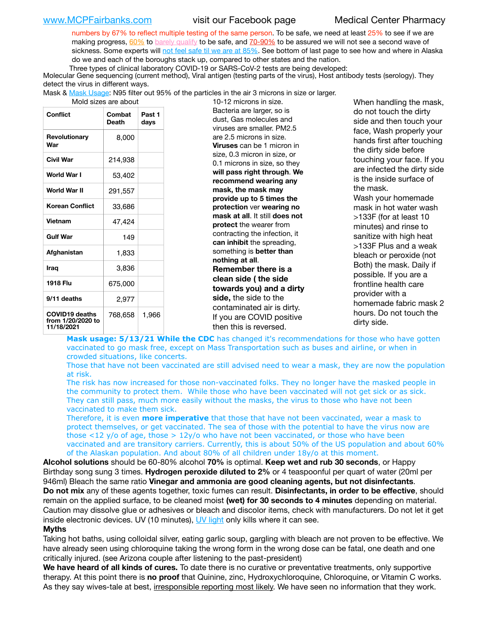numbers by 67% to reflect multiple testing of the same person. To be safe, we need at least 25% to see if we are making progress, [60%](https://www.jhsph.edu/covid-19/articles/achieving-herd-immunity-with-covid19.html) to [barely qualify](https://www.nature.com/articles/d41586-020-02948-4) to be safe, and [70-90%](https://www.mayoclinic.org/herd-immunity-and-coronavirus/art-20486808) to be assured we will not see a second wave of sickness. Some experts will [not feel safe til we are at 85%](https://www.bannerhealth.com/healthcareblog/teach-me/what-is-herd-immunity). See bottom of last page to see how and where in Alaska do we and each of the boroughs stack up, compared to other states and the nation.

Three types of clinical laboratory COVID-19 or SARS-CoV-2 tests are being developed:

 Molecular Gene sequencing (current method), Viral antigen (testing parts of the virus), Host antibody tests (serology). They detect the virus in different ways.

Mask & [Mask Usage:](https://www.nationalgeographic.com/history/2020/03/how-cities-flattened-curve-1918-spanish-flu-pandemic-coronavirus/) N95 filter out 95% of the particles in the air 3 microns in size or larger.

| Mold sizes are abor |  |  |  |
|---------------------|--|--|--|
|---------------------|--|--|--|

| Conflict                                                 | Combat<br>Death | Past 1<br>days |
|----------------------------------------------------------|-----------------|----------------|
| Revolutionary<br>War                                     | 8,000           |                |
| Civil War                                                | 214,938         |                |
| World War I                                              | 53,402          |                |
| World War II                                             | 291,557         |                |
| <b>Korean Conflict</b>                                   | 33,686          |                |
| <b>Vietnam</b>                                           | 47,424          |                |
| <b>Gulf War</b>                                          | 149             |                |
| Afghanistan                                              | 1,833           |                |
| <b>Iraq</b>                                              | 3,836           |                |
| 1918 Flu                                                 | 675,000         |                |
| 9/11 deaths                                              | 2,977           |                |
| <b>COVID19 deaths</b><br>from 1/20/2020 to<br>11/18/2021 | 768,658         | 1,966          |

ut are about 10-12 microns in size. Bacteria are larger, so is dust, Gas molecules and viruses are smaller. PM2.5 are 2.5 microns in size. **Viruses** can be 1 micron in size, 0.3 micron in size, or 0.1 microns in size, so they **will pass right through**. **We recommend wearing any mask, the mask may provide up to 5 times the protection** ver **wearing no mask at all**. It still **does not protect** the wearer from contracting the infection, it **can inhibit** the spreading, something is **better than nothing at all**. **Remember there is a clean side ( the side towards you) and a dirty side,** the side to the contaminated air is dirty. If you are COVID positive then this is reversed.

When handling the mask, do not touch the dirty side and then touch your face, Wash properly your hands first after touching the dirty side before touching your face. If you are infected the dirty side is the inside surface of the mask. Wash your homemade mask in hot water wash >133F (for at least 10 minutes) and rinse to sanitize with high heat >133F Plus and a weak bleach or peroxide (not Both) the mask. Daily if possible. If you are a frontline health care provider with a homemade fabric mask 2 hours. Do not touch the dirty side.

**Mask usage: 5/13/21 While the CDC** has changed it's recommendations for those who have gotten vaccinated to go mask free, except on Mass Transportation such as buses and airline, or when in crowded situations, like concerts.

Those that have not been vaccinated are still advised need to wear a mask, they are now the population at risk.

The risk has now increased for those non-vaccinated folks. They no longer have the masked people in the community to protect them. While those who have been vaccinated will not get sick or as sick. They can still pass, much more easily without the masks, the virus to those who have not been vaccinated to make them sick.

Therefore, it is even **more imperative** that those that have not been vaccinated, wear a mask to protect themselves, or get vaccinated. The sea of those with the potential to have the virus now are those <12 y/o of age, those >  $12y$ /o who have not been vaccinated, or those who have been vaccinated and are transitory carriers. Currently, this is about 50% of the US population and about 60% of the Alaskan population. And about 80% of all children under 18y/o at this moment.

**Alcohol solutions** should be 60-80% alcohol **70%** is optimal. **Keep wet and rub 30 seconds**, or Happy Birthday song sung 3 times. **Hydrogen peroxide diluted to 2%** or 4 teaspoonful per quart of water (20ml per 946ml) Bleach the same ratio **Vinegar and ammonia are good cleaning agents, but not disinfectants**. **Do not mix** any of these agents together, toxic fumes can result. **Disinfectants, in order to be effective**, should remain on the applied surface, to be cleaned moist **(wet) for 30 seconds to 4 minutes** depending on material. Caution may dissolve glue or adhesives or bleach and discolor items, check with manufacturers. Do not let it get inside electronic devices. UV (10 minutes), [UV light](http://www.docreviews.me/best-uv-boxes-2020/?fbclid=IwAR3bvFtXB48OoBBSvYvTEnKuHNPbipxM6jUo82QUSw9wckxjC7wwRZWabGw) only kills where it can see.

### **Myths**

Taking hot baths, using colloidal silver, eating garlic soup, gargling with bleach are not proven to be effective. We have already seen using chloroquine taking the wrong form in the wrong dose can be fatal, one death and one critically injured. (see Arizona couple after listening to the past-president)

**We have heard of all kinds of cures.** To date there is no curative or preventative treatments, only supportive therapy. At this point there is **no proof** that Quinine, zinc, Hydroxychloroquine, Chloroquine, or Vitamin C works. As they say wives-tale at best, irresponsible reporting most likely. We have seen no information that they work.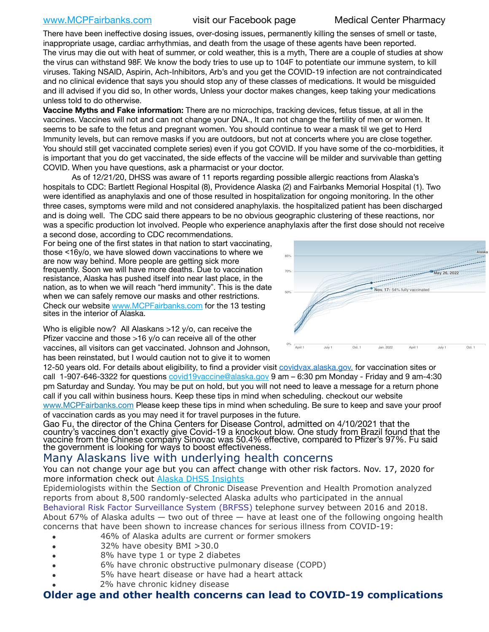[www.MCPFairbanks.com](http://www.MCPFairbanks.com) visit our Facebook page Medical Center Pharmacy

There have been ineffective dosing issues, over-dosing issues, permanently killing the senses of smell or taste, inappropriate usage, cardiac arrhythmias, and death from the usage of these agents have been reported. The virus may die out with heat of summer, or cold weather, this is a myth, There are a couple of studies at show the virus can withstand 98F. We know the body tries to use up to 104F to potentiate our immune system, to kill viruses. Taking NSAID, Aspirin, Ach-Inhibitors, Arb's and you get the COVID-19 infection are not contraindicated and no clinical evidence that says you should stop any of these classes of medications. It would be misguided and ill advised if you did so, In other words, Unless your doctor makes changes, keep taking your medications unless told to do otherwise.

**Vaccine Myths and Fake information:** There are no microchips, tracking devices, fetus tissue, at all in the vaccines. Vaccines will not and can not change your DNA., It can not change the fertility of men or women. It seems to be safe to the fetus and pregnant women. You should continue to wear a mask til we get to Herd Immunity levels, but can remove masks if you are outdoors, but not at concerts where you are close together. You should still get vaccinated complete series) even if you got COVID. If you have some of the co-morbidities, it is important that you do get vaccinated, the side effects of the vaccine will be milder and survivable than getting COVID. When you have questions, ask a pharmacist or your doctor.

As of 12/21/20, DHSS was aware of 11 reports regarding possible allergic reactions from Alaska's hospitals to CDC: Bartlett Regional Hospital (8), Providence Alaska (2) and Fairbanks Memorial Hospital (1). Two were identified as anaphylaxis and one of those resulted in hospitalization for ongoing monitoring. In the other within the other three cases, symptoms were mild and not considered anaphylaxis. the hospitalized patient has been discharged and is doing well. The CDC said there appears to be no obvious geographic clustering of these reactions, nor was a specific production lot involved. People who experience anaphylaxis after the first dose should not receive nes. in t

a second dose, according to CDC recommendations. For being one of the first states in that nation to start vaccinating, those <16y/o, we have slowed down vaccinations to where we are now way behind. More people are getting sick more frequently. Soon we will have more deaths. Due to vaccination resistance, Alaska has pushed itself into near last place, in the nation, as to when we will reach "herd immunity". This is the date when we can safely remove our masks and other restrictions. Check our website [www.MCPFairbanks.com](http://www.MCPFairbanks.com) for the 13 testing sites in the interior of Alaska.

Who is eligible now? All Alaskans >12 y/o, can receive the Pfizer vaccine and those >16 y/o can receive all of the other vaccines, all visitors can get vaccinated. Johnson and Johnson, has been reinstated, but I would caution not to give it to women



12-50 years old. For details about eligibility, to find a provider visit [covidvax.alaska.gov.](https://lnks.gd/l/eyJhbGciOiJIUzI1NiJ9.eyJidWxsZXRpbl9saW5rX2lkIjoxMDYsInVyaSI6ImJwMjpjbGljayIsImJ1bGxldGluX2lkIjoiMjAyMTAxMjguMzQwODU3NjEiLCJ1cmwiOiJodHRwOi8vZGhzcy5hbGFza2EuZ292L2RwaC9FcGkvaWQvUGFnZXMvQ09WSUQtMTkvdmFjY2luZS5hc3B4In0.-Xwhl42jAWOMS7ewfS85uxwrwjohCso3Sb81DuDKtxU/s/500544915/br/93796640171-l) for vaccination sites or call 1-907-646-3322 for questions *covid19vaccine@alaska.gov* 9 am – 6:30 pm Monday - Friday and 9 am-4:30 pm Saturday and Sunday. You may be put on hold, but you will not need to leave a message for a return phone call if you call within business hours. Keep these tips in mind when scheduling. checkout our website [www.MCPFairbanks.com](http://www.MCPFairbanks.com) Please keep these tips in mind when scheduling. Be sure to keep and save your proof of vaccination cards as you may need it for travel purposes in the future.

Gao Fu, the director of the China Centers for Disease Control, admitted on 4/10/2021 that the country's vaccines don't exactly give Covid-19 a knockout blow. One study from Brazil found that the vaccine from the Chinese company Sinovac was 50.4% effective, compared to Pfizer's 97%. Fu said the government is looking for ways to boost effectiveness.

# Many Alaskans live with underlying health concerns

You can not change your age but you can affect change with other risk factors. Nov. 17, 2020 for more information check out [Alaska DHSS Insights](http://dhss.alaska.gov/dph/Epi/id/Pages/COVID-19/blog/20201117.aspx)

Epidemiologists within the Section of Chronic Disease Prevention and Health Promotion analyzed reports from about 8,500 randomly-selected Alaska adults who participated in the annual [Behavioral Risk Factor Surveillance System \(BRFSS\)](http://dhss.alaska.gov/dph/Chronic/Pages/brfss/default.aspx) telephone survey between 2016 and 2018. About 67% of Alaska adults — two out of three — have at least one of the following ongoing health concerns that have been shown to increase chances for serious illness from COVID-19:

- 46% of Alaska adults are current or former smokers
- 32% have obesity BMI >30.0
- 8% have type 1 or type 2 diabetes
- 6% have chronic obstructive pulmonary disease (COPD)
- 5% have heart disease or have had a heart attack
- 2% have chronic kidney disease

# **Older age and other health concerns can lead to COVID-19 complications**